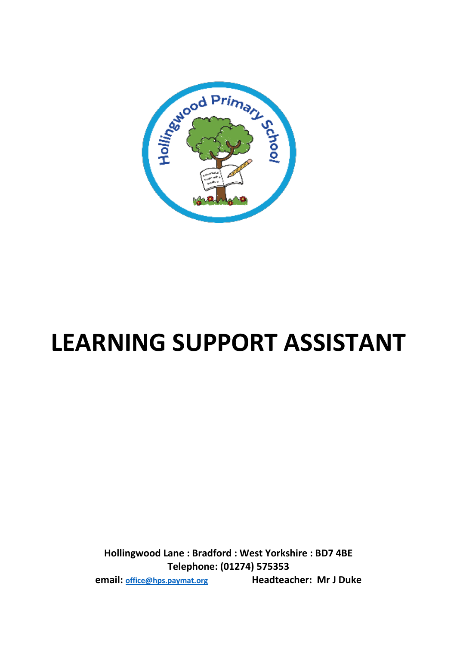

# **LEARNING SUPPORT ASSISTANT**

**Hollingwood Lane : Bradford : West Yorkshire : BD7 4BE Telephone: (01274) 575353 email: [office@hps.paymat.org](mailto:office@hps.paymat.org) Headteacher: Mr J Duke**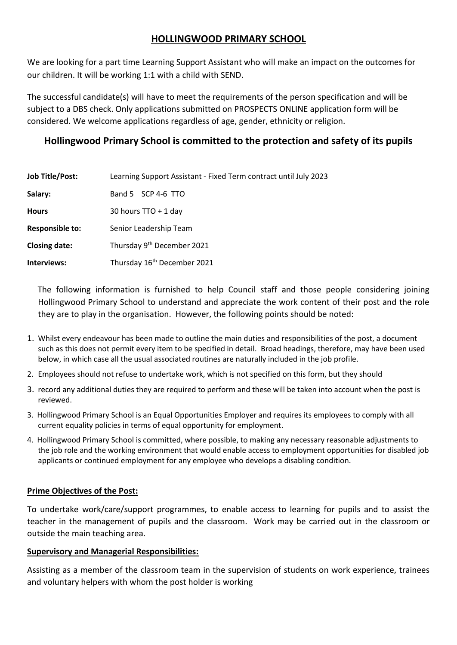# **HOLLINGWOOD PRIMARY SCHOOL**

We are looking for a part time Learning Support Assistant who will make an impact on the outcomes for our children. It will be working 1:1 with a child with SEND.

The successful candidate(s) will have to meet the requirements of the person specification and will be subject to a DBS check. Only applications submitted on PROSPECTS ONLINE application form will be considered. We welcome applications regardless of age, gender, ethnicity or religion.

# **Hollingwood Primary School is committed to the protection and safety of its pupils**

| <b>Job Title/Post:</b> | Learning Support Assistant - Fixed Term contract until July 2023 |
|------------------------|------------------------------------------------------------------|
| Salary:                | Band 5 SCP 4-6 TTO                                               |
| <b>Hours</b>           | 30 hours $TTO + 1$ day                                           |
| <b>Responsible to:</b> | Senior Leadership Team                                           |
| <b>Closing date:</b>   | Thursday 9 <sup>th</sup> December 2021                           |
| Interviews:            | Thursday 16 <sup>th</sup> December 2021                          |

 The following information is furnished to help Council staff and those people considering joining Hollingwood Primary School to understand and appreciate the work content of their post and the role they are to play in the organisation. However, the following points should be noted:

- 1. Whilst every endeavour has been made to outline the main duties and responsibilities of the post, a document such as this does not permit every item to be specified in detail. Broad headings, therefore, may have been used below, in which case all the usual associated routines are naturally included in the job profile.
- 2. Employees should not refuse to undertake work, which is not specified on this form, but they should
- 3. record any additional duties they are required to perform and these will be taken into account when the post is reviewed.
- 3. Hollingwood Primary School is an Equal Opportunities Employer and requires its employees to comply with all current equality policies in terms of equal opportunity for employment.
- 4. Hollingwood Primary School is committed, where possible, to making any necessary reasonable adjustments to the job role and the working environment that would enable access to employment opportunities for disabled job applicants or continued employment for any employee who develops a disabling condition.

## **Prime Objectives of the Post:**

To undertake work/care/support programmes, to enable access to learning for pupils and to assist the teacher in the management of pupils and the classroom. Work may be carried out in the classroom or outside the main teaching area.

#### **Supervisory and Managerial Responsibilities:**

Assisting as a member of the classroom team in the supervision of students on work experience, trainees and voluntary helpers with whom the post holder is working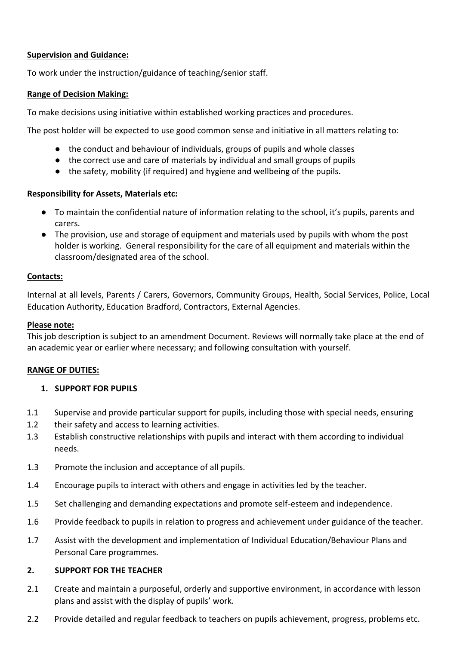## **Supervision and Guidance:**

To work under the instruction/guidance of teaching/senior staff.

## **Range of Decision Making:**

To make decisions using initiative within established working practices and procedures.

The post holder will be expected to use good common sense and initiative in all matters relating to:

- the conduct and behaviour of individuals, groups of pupils and whole classes
- the correct use and care of materials by individual and small groups of pupils
- the safety, mobility (if required) and hygiene and wellbeing of the pupils.

## **Responsibility for Assets, Materials etc:**

- To maintain the confidential nature of information relating to the school, it's pupils, parents and carers.
- The provision, use and storage of equipment and materials used by pupils with whom the post holder is working. General responsibility for the care of all equipment and materials within the classroom/designated area of the school.

## **Contacts:**

Internal at all levels, Parents / Carers, Governors, Community Groups, Health, Social Services, Police, Local Education Authority, Education Bradford, Contractors, External Agencies.

## **Please note:**

This job description is subject to an amendment Document. Reviews will normally take place at the end of an academic year or earlier where necessary; and following consultation with yourself.

## **RANGE OF DUTIES:**

## **1. SUPPORT FOR PUPILS**

- 1.1 Supervise and provide particular support for pupils, including those with special needs, ensuring
- 1.2 their safety and access to learning activities.
- 1.3 Establish constructive relationships with pupils and interact with them according to individual needs.
- 1.3 Promote the inclusion and acceptance of all pupils.
- 1.4 Encourage pupils to interact with others and engage in activities led by the teacher.
- 1.5 Set challenging and demanding expectations and promote self-esteem and independence.
- 1.6 Provide feedback to pupils in relation to progress and achievement under guidance of the teacher.
- 1.7 Assist with the development and implementation of Individual Education/Behaviour Plans and Personal Care programmes.

## **2. SUPPORT FOR THE TEACHER**

- 2.1 Create and maintain a purposeful, orderly and supportive environment, in accordance with lesson plans and assist with the display of pupils' work.
- 2.2 Provide detailed and regular feedback to teachers on pupils achievement, progress, problems etc.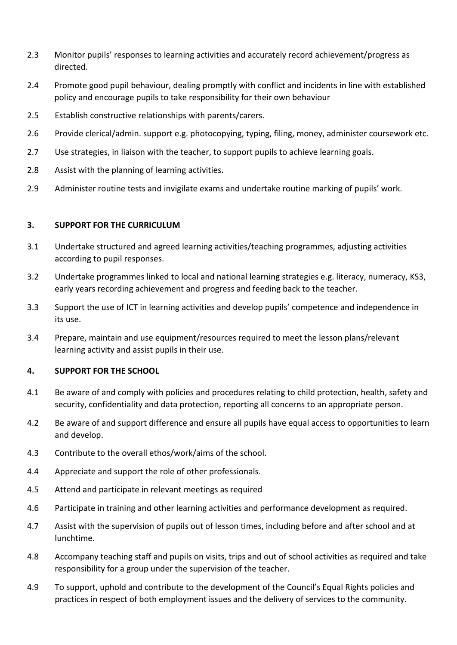- 2.3 Monitor pupils' responses to learning activities and accurately record achievement/progress as directed.
- 2.4 Promote good pupil behaviour, dealing promptly with conflict and incidents in line with established policy and encourage pupils to take responsibility for their own behaviour
- 2.5 Establish constructive relationships with parents/carers.
- 2.6 Provide clerical/admin. support e.g. photocopying, typing, filing, money, administer coursework etc.
- 2.7 Use strategies, in liaison with the teacher, to support pupils to achieve learning goals.
- 2.8 Assist with the planning of learning activities.
- 2.9 Administer routine tests and invigilate exams and undertake routine marking of pupils' work.

#### **3. SUPPORT FOR THE CURRICULUM**

- 3.1 Undertake structured and agreed learning activities/teaching programmes, adjusting activities according to pupil responses.
- 3.2 Undertake programmes linked to local and national learning strategies e.g. literacy, numeracy, KS3, early years recording achievement and progress and feeding back to the teacher.
- 3.3 Support the use of ICT in learning activities and develop pupils' competence and independence in its use.
- 3.4 Prepare, maintain and use equipment/resources required to meet the lesson plans/relevant learning activity and assist pupils in their use.

#### **4. SUPPORT FOR THE SCHOOL**

- 4.1 Be aware of and comply with policies and procedures relating to child protection, health, safety and security, confidentiality and data protection, reporting all concerns to an appropriate person.
- 4.2 Be aware of and support difference and ensure all pupils have equal access to opportunities to learn and develop.
- 4.3 Contribute to the overall ethos/work/aims of the school.
- 4.4 Appreciate and support the role of other professionals.
- 4.5 Attend and participate in relevant meetings as required
- 4.6 Participate in training and other learning activities and performance development as required.
- 4.7 Assist with the supervision of pupils out of lesson times, including before and after school and at lunchtime.
- 4.8 Accompany teaching staff and pupils on visits, trips and out of school activities as required and take responsibility for a group under the supervision of the teacher.
- 4.9 To support, uphold and contribute to the development of the Council's Equal Rights policies and practices in respect of both employment issues and the delivery of services to the community.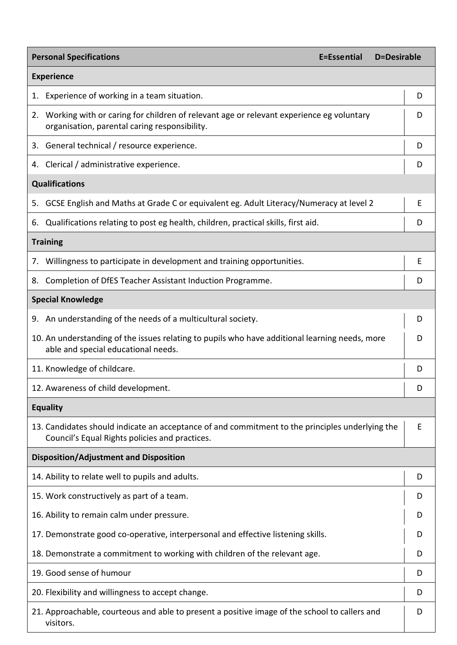| <b>Personal Specifications</b><br>E=Essential<br>D=Desirable                                                                                      |   |  |  |  |
|---------------------------------------------------------------------------------------------------------------------------------------------------|---|--|--|--|
| <b>Experience</b>                                                                                                                                 |   |  |  |  |
| 1. Experience of working in a team situation.                                                                                                     | D |  |  |  |
| 2. Working with or caring for children of relevant age or relevant experience eg voluntary<br>organisation, parental caring responsibility.       |   |  |  |  |
| 3. General technical / resource experience.                                                                                                       | D |  |  |  |
| 4. Clerical / administrative experience.                                                                                                          | D |  |  |  |
| <b>Qualifications</b>                                                                                                                             |   |  |  |  |
| GCSE English and Maths at Grade C or equivalent eg. Adult Literacy/Numeracy at level 2<br>5.                                                      | E |  |  |  |
| Qualifications relating to post eg health, children, practical skills, first aid.<br>6.                                                           | D |  |  |  |
| <b>Training</b>                                                                                                                                   |   |  |  |  |
| 7. Willingness to participate in development and training opportunities.                                                                          | E |  |  |  |
| Completion of DfES Teacher Assistant Induction Programme.<br>8.                                                                                   | D |  |  |  |
| <b>Special Knowledge</b>                                                                                                                          |   |  |  |  |
| 9. An understanding of the needs of a multicultural society.                                                                                      | D |  |  |  |
| 10. An understanding of the issues relating to pupils who have additional learning needs, more<br>able and special educational needs.             |   |  |  |  |
| 11. Knowledge of childcare.                                                                                                                       | D |  |  |  |
| 12. Awareness of child development.                                                                                                               | D |  |  |  |
| <b>Equality</b>                                                                                                                                   |   |  |  |  |
| 13. Candidates should indicate an acceptance of and commitment to the principles underlying the<br>Council's Equal Rights policies and practices. | E |  |  |  |
| <b>Disposition/Adjustment and Disposition</b>                                                                                                     |   |  |  |  |
| 14. Ability to relate well to pupils and adults.                                                                                                  | D |  |  |  |
| 15. Work constructively as part of a team.                                                                                                        | D |  |  |  |
| 16. Ability to remain calm under pressure.                                                                                                        |   |  |  |  |
| 17. Demonstrate good co-operative, interpersonal and effective listening skills.                                                                  |   |  |  |  |
| 18. Demonstrate a commitment to working with children of the relevant age.                                                                        |   |  |  |  |
| 19. Good sense of humour                                                                                                                          |   |  |  |  |
| 20. Flexibility and willingness to accept change.                                                                                                 |   |  |  |  |
| 21. Approachable, courteous and able to present a positive image of the school to callers and<br>visitors.                                        |   |  |  |  |